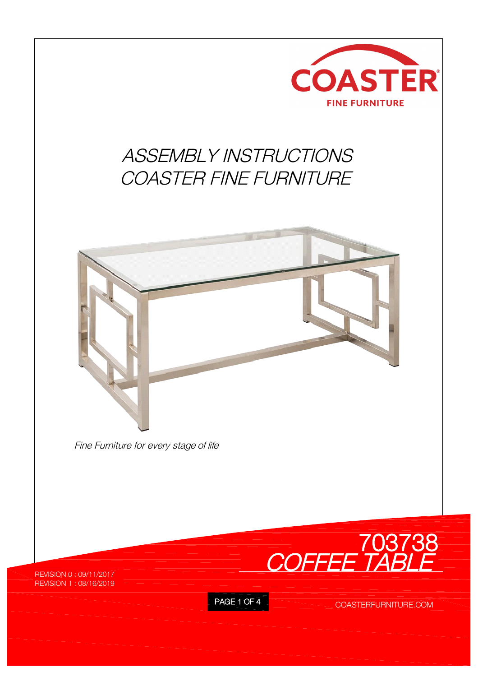

## *ASSEMBLY INSTRUCTIONS COASTER FINE FURNITURE*



*Fine Furniture for every stage of life*



REVISION 0 : 09/11/2017 REVISION 1 : 08/16/2019

PAGE 1 OF 4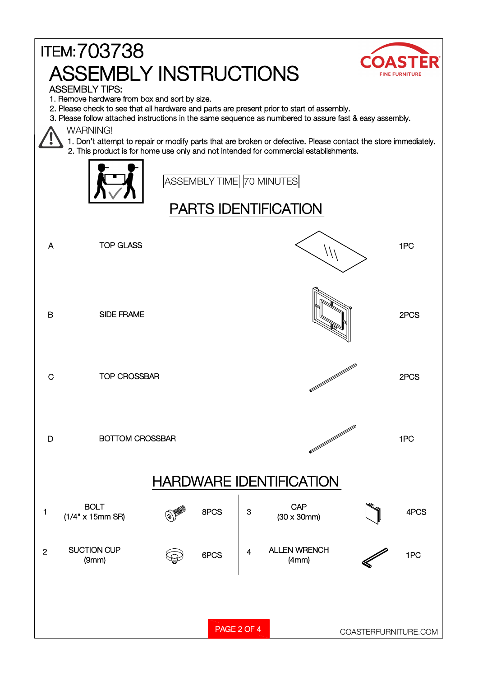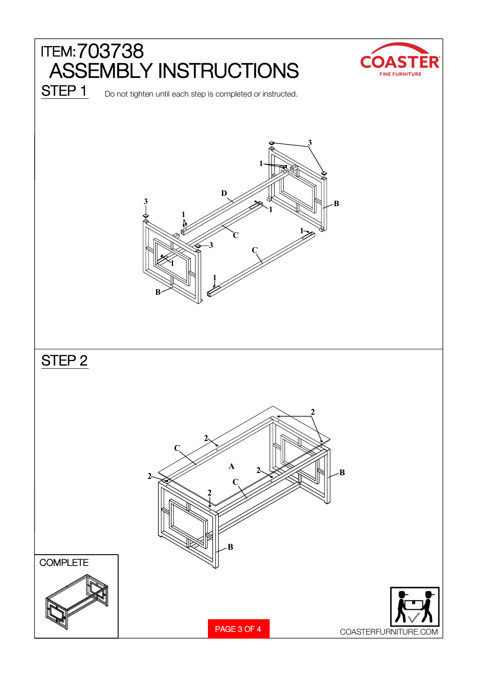